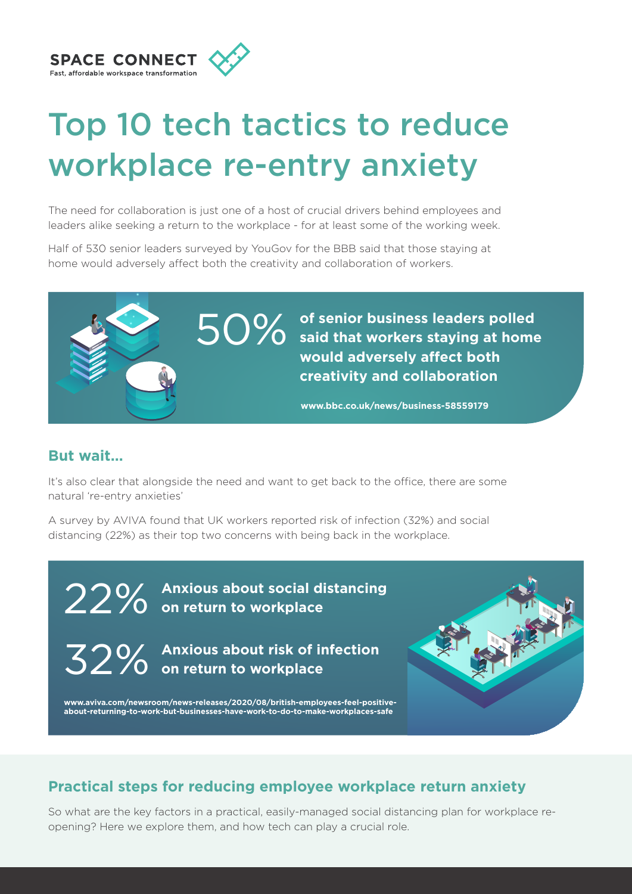

# Top 10 tech tactics to reduce workplace re-entry anxiety

The need for collaboration is just one of a host of crucial drivers behind employees and leaders alike seeking a return to the workplace - for at least some of the working week.

Half of 530 senior leaders surveyed by YouGov for the BBB said that those staying at home would adversely affect both the creativity and collaboration of workers.



#### **But wait…**

It's also clear that alongside the need and want to get back to the office, there are some natural 're-entry anxieties'

A survey by AVIVA found that UK workers reported risk of infection (32%) and social distancing (22%) as their top two concerns with being back in the workplace.

22% **Anxious about social distancing on return to workplace**

32% **Anxious about risk of infection on return to workplace**



**www.aviva.com/newsroom/news-releases/2020/08/british-employees-feel-positiveabout-returning-to-work-but-businesses-have-work-to-do-to-make-workplaces-safe**

# **Practical steps for reducing employee workplace return anxiety**

So what are the key factors in a practical, easily-managed social distancing plan for workplace reopening? Here we explore them, and how tech can play a crucial role.